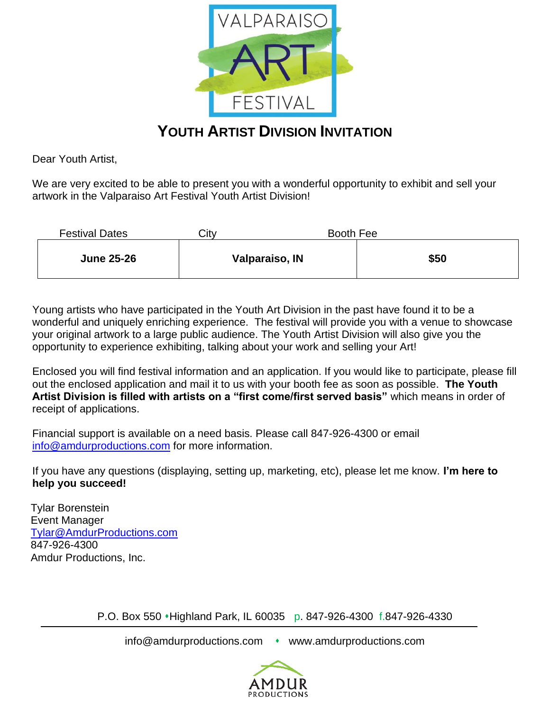

## **YOUTH ARTIST DIVISION INVITATION**

Dear Youth Artist,

We are very excited to be able to present you with a wonderful opportunity to exhibit and sell your artwork in the Valparaiso Art Festival Youth Artist Division!

| <b>Festival Dates</b> | City | Booth Fee      |      |
|-----------------------|------|----------------|------|
| <b>June 25-26</b>     |      | Valparaiso, IN | \$50 |

Young artists who have participated in the Youth Art Division in the past have found it to be a wonderful and uniquely enriching experience. The festival will provide you with a venue to showcase your original artwork to a large public audience. The Youth Artist Division will also give you the opportunity to experience exhibiting, talking about your work and selling your Art!

Enclosed you will find festival information and an application. If you would like to participate, please fill out the enclosed application and mail it to us with your booth fee as soon as possible. **The Youth Artist Division is filled with artists on a "first come/first served basis"** which means in order of receipt of applications.

Financial support is available on a need basis. Please call 847-926-4300 or email [info@amdurproductions.com](mailto:info@amdurproductions.com) for more information.

If you have any questions (displaying, setting up, marketing, etc), please let me know. **I'm here to help you succeed!**

Tylar Borenstein Event Manager [Tylar@AmdurProductions.com](mailto:Tylar@AmdurProductions.com) 847-926-4300 Amdur Productions, Inc.

P.O. Box 550 ⬧Highland Park, IL 60035 p. 847-926-4300 f.847-926-4330

info@amdurproductions.com • www.amdurproductions.com

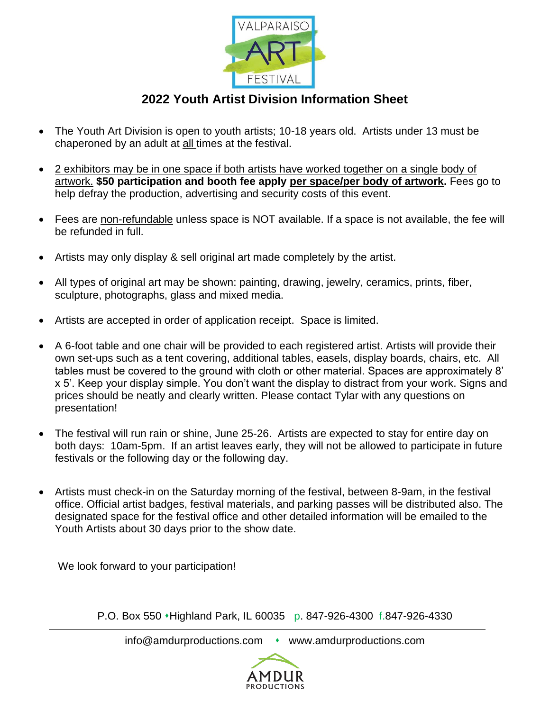

## **2022 Youth Artist Division Information Sheet**

- The Youth Art Division is open to youth artists; 10-18 years old. Artists under 13 must be chaperoned by an adult at all times at the festival.
- 2 exhibitors may be in one space if both artists have worked together on a single body of artwork. **\$50 participation and booth fee apply per space/per body of artwork.** Fees go to help defray the production, advertising and security costs of this event.
- Fees are non-refundable unless space is NOT available. If a space is not available, the fee will be refunded in full.
- Artists may only display & sell original art made completely by the artist.
- All types of original art may be shown: painting, drawing, jewelry, ceramics, prints, fiber, sculpture, photographs, glass and mixed media.
- Artists are accepted in order of application receipt. Space is limited.
- A 6-foot table and one chair will be provided to each registered artist. Artists will provide their own set-ups such as a tent covering, additional tables, easels, display boards, chairs, etc. All tables must be covered to the ground with cloth or other material. Spaces are approximately 8' x 5'. Keep your display simple. You don't want the display to distract from your work. Signs and prices should be neatly and clearly written. Please contact Tylar with any questions on presentation!
- The festival will run rain or shine, June 25-26. Artists are expected to stay for entire day on both days: 10am-5pm. If an artist leaves early, they will not be allowed to participate in future festivals or the following day or the following day.
- Artists must check-in on the Saturday morning of the festival, between 8-9am, in the festival office. Official artist badges, festival materials, and parking passes will be distributed also. The designated space for the festival office and other detailed information will be emailed to the Youth Artists about 30 days prior to the show date.

We look forward to your participation!

P.O. Box 550 ⬧Highland Park, IL 60035 p. 847-926-4300 f.847-926-4330

info@amdurproductions.com • www.amdurproductions.com